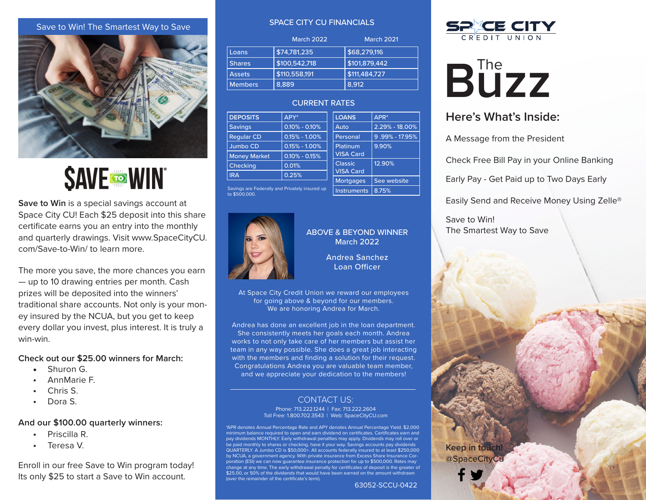#### Save to Win! The Smartest Way to Save



**SAVE TO WIN** 

**Save to Win** is a special savings account at Space City CU! Each \$25 deposit into this share certificate earns you an entry into the monthly and quarterly drawings. Visit www.SpaceCityCU. com/Save-to-Win/ to learn more.

The more you save, the more chances you earn — up to 10 drawing entries per month. Cash prizes will be deposited into the winners' traditional share accounts. Not only is your money insured by the NCUA, but you get to keep every dollar you invest, plus interest. It is truly a win-win.

#### **Check out our \$25.00 winners for March:**

- Shuron G.
- AnnMarie F.
- Chris S.
- Dora S.

#### **And our \$100.00 quarterly winners:**

- Priscilla R.
- Teresa V.

Enroll in our free Save to Win program today! Its only \$25 to start a Save to Win account.

#### SPACE CITY CU FINANCIALS

|                | <b>March 2022</b> | <b>March 2021</b> |
|----------------|-------------------|-------------------|
| Loans          | \$74,781,235      | \$68,279,116      |
| <b>Shares</b>  | \$100,542,718     | \$101,879,442     |
| <b>Assets</b>  | \$110,558,191     | \$111,484,727     |
| <b>Members</b> | 8.889             | 8.912             |

#### CURRENT RATES

| <b>DEPOSITS</b>     | APY*              | <b>LOANS</b>     | $APR*$         |
|---------------------|-------------------|------------------|----------------|
| <b>Savings</b>      | $0.10\% - 0.10\%$ | Auto             | 2.29% - 18.00% |
| <b>Reqular CD</b>   | $0.15\% - 1.00\%$ | Personal         | 9.99% - 17.95% |
| Jumbo CD            | $0.15\% - 1.00\%$ | Platinum         | 9.90%          |
| <b>Money Market</b> | $0.10\% - 0.15\%$ | <b>VISA Card</b> |                |
| Checking            | 0.01%             | <b>Classic</b>   | 12.90%         |
| <b>IRA</b>          | 0.25%             | <b>VISA Card</b> |                |
|                     |                   | <b>Mortgages</b> | See website    |
|                     |                   |                  |                |

Savings are Federally and Privately insured up to \$500,000.



# ABOVE & BEYOND WINNER March 2022

Instruments | 8.75%

Andrea Sanchez Loan Officer

At Space City Credit Union we reward our employees for going above & beyond for our members. We are honoring Andrea for March.

Andrea has done an excellent job in the loan department. She consistently meets her goals each month. Andrea works to not only take care of her members but assist her team in any way possible. She does a great job interacting with the members and finding a solution for their request. Congratulations Andrea you are valuable team member, and we appreciate your dedication to the members!

#### CONTACT US:

Phone: 713.222.1244 | Fax: 713.222.2604 Toll Free: 1.800.702.3543 | Web: SpaceCityCU.com

\*APR denotes Annual Percentage Rate and APY denotes Annual Percentage Yield. \$2,000 minimum balance required to open and earn dividend on certificates. Certificates earn and pay dividends MONTHLY. Early withdrawal penalties may apply. Dividends may roll over or be paid monthly to shares or checking, have it your way. Savings accounts pay dividends QUARTERLY. A Jumbo CD is \$50,000+. All accounts federally insured to at least \$250,000 by NCUA, a government agency. With private insurance from Excess Share Insurance Corporation (ESI) we can now guarantee insurance protection for up to \$500,000. Rates may ge at any time. The early withdrawal penalty for certificates of deposit is the greater of \$25.00, or 50% of the dividends that would have been earned on the amount withdrawn (over the remainder of the certificate's term).

63052-SCCU-0422



# **B**UZZ

# **Here's What's Inside:**

A Message from the President

Check Free Bill Pay in your Online Banking

Early Pay - Get Paid up to Two Days Early

Easily Send and Receive Money Using Zelle®

Save to Win! The Smartest Way to Save

@SpaceCityCu **Keep in touch!**